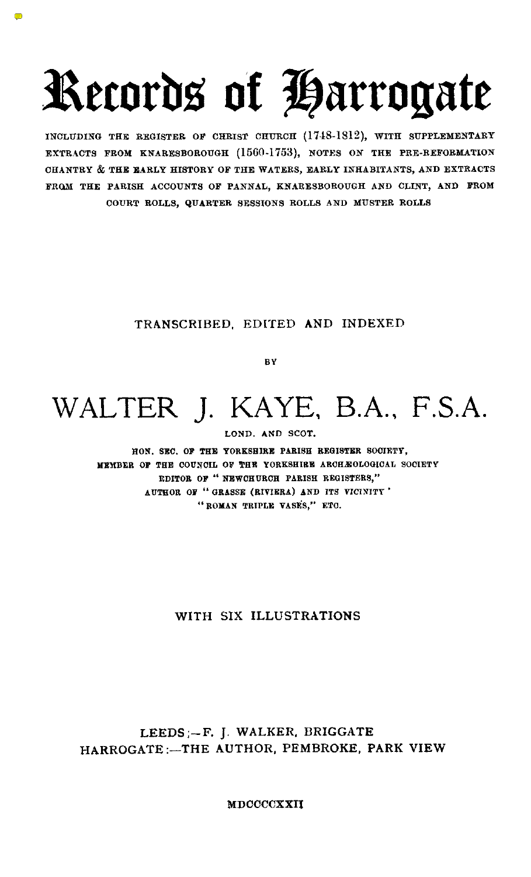# Records of Harrogate

 $\left(\frac{1}{2}\right)$ 

INCLUDING THE REGISTER OF CHRIST CHURCH (1748-1812), WITH SUPPLEMENTARY EXTRACTS FROM KNARESBOROUGH (1560-1753), NOTES ON THE PRE-REFORMATION CHANTRY & THE EARLY HISTORY OF THE WATERS, EARLY INHABITANTS, AND EXTRACTS FROM THE PARISH ACCOUNTS OF PANNAL, KNARESBOROUGH AND CLINT, AND FROM COURT ROLLS, QUARTER SESSIONS ROLLS AND MUSTER ROLLS

TRANSCRIBED, EDITED AND INDEXED

BY

# WALTER J. KAYE, B.A., F.S.A.

LOND. AND SCOT.

HON. SEC. OF THE YORKSHIRE PARISH REGISTER SOCIETY, MEMBER OF THE COUNCIL OF THE YORKSHIRE ARCHEOLOGICAL SOCIETY RDITOR OF "NEWCHURCH PARISH REGISTERS," AUTHOR OF "GRASSE (RIVIERA) AND ITS VICINITY' "ROMAN TRIPLE VASES," ETC.

WITH SIX ILLUSTRATIONS

# MDCCCCXXII

# LEEDS;-F. J. WALKER, BRIGGATE HARROGATE:-THE AUTHOR, PEMBROKE, PARK VIEW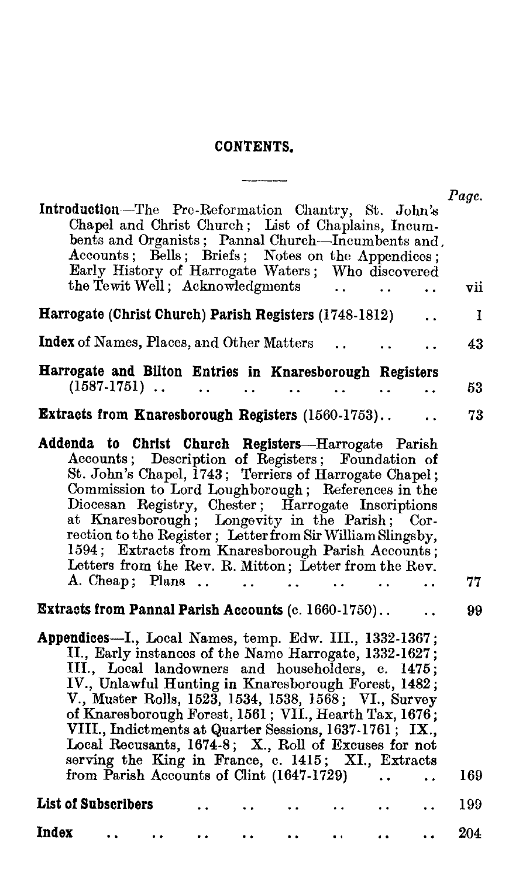# CONTENTS.

| CONTENTS.                                                                                                                                                                                                                                                                                                                                                                                                                                                                                                                                                                                                               |              |
|-------------------------------------------------------------------------------------------------------------------------------------------------------------------------------------------------------------------------------------------------------------------------------------------------------------------------------------------------------------------------------------------------------------------------------------------------------------------------------------------------------------------------------------------------------------------------------------------------------------------------|--------------|
|                                                                                                                                                                                                                                                                                                                                                                                                                                                                                                                                                                                                                         |              |
| Introduction-The Pre-Reformation Chantry, St. John's<br>Chapel and Christ Church; List of Chaplains, Incum-<br>bents and Organists; Pannal Church-Incumbents and,<br>Accounts; Bells; Briefs; Notes on the Appendices;<br>Early History of Harrogate Waters; Who discovered<br>the Tewit Well; Acknowledgments                                                                                                                                                                                                                                                                                                          | Page.<br>vii |
| Harrogate (Christ Church) Parish Registers (1748-1812)                                                                                                                                                                                                                                                                                                                                                                                                                                                                                                                                                                  | 1            |
| Index of Names, Places, and Other Matters                                                                                                                                                                                                                                                                                                                                                                                                                                                                                                                                                                               | 43           |
| Harrogate and Bilton Entries in Knaresborough Registers<br>$(1587-1751)$                                                                                                                                                                                                                                                                                                                                                                                                                                                                                                                                                | 53           |
| <b>Extracts from Knaresborough Registers</b> $(1560-1753)$ .                                                                                                                                                                                                                                                                                                                                                                                                                                                                                                                                                            | 73           |
| Addenda to Christ Church Registers-Harrogate Parish<br>Accounts; Description of Registers; Foundation of<br>St. John's Chapel, 1743; Terriers of Harrogate Chapel;<br>Commission to Lord Loughborough; References in the<br>Diocesan Registry, Chester; Harrogate Inscriptions<br>at Knaresborough; Longevity in the Parish; Cor-<br>rection to the Register; Letter from Sir William Slingsby,<br>1594; Extracts from Knaresborough Parish Accounts;<br>Letters from the Rev. R. Mitton; Letter from the Rev.<br>A. Cheap; Plans<br>$\ddot{\phantom{a}}$                                                               | 77           |
| Extracts from Pannal Parish Accounts (c. 1660-1750)                                                                                                                                                                                                                                                                                                                                                                                                                                                                                                                                                                     | 99           |
| Appendices-I., Local Names, temp. Edw. III., 1332-1367;<br>II., Early instances of the Name Harrogate, 1332-1627;<br>III., Local landowners and householders, c. 1475;<br>IV., Unlawful Hunting in Knaresborough Forest, 1482;<br>V., Muster Rolls, 1523, 1534, 1538, 1568; VI., Survey<br>of Knaresborough Forest, 1561; VII., Hearth Tax, 1676;<br>VIII., Indictments at Quarter Sessions, 1637-1761; IX.,<br>Local Recusants, 1674-8; X., Roll of Excuses for not<br>serving the King in France, c. 1415; XI., Extracts<br>from Parish Accounts of Clint (1647-1729)<br>$\ddot{\phantom{a}}$<br>$\ddot{\phantom{a}}$ | 169          |
| List of Subscribers                                                                                                                                                                                                                                                                                                                                                                                                                                                                                                                                                                                                     | 199          |
|                                                                                                                                                                                                                                                                                                                                                                                                                                                                                                                                                                                                                         | 204          |
| Index                                                                                                                                                                                                                                                                                                                                                                                                                                                                                                                                                                                                                   |              |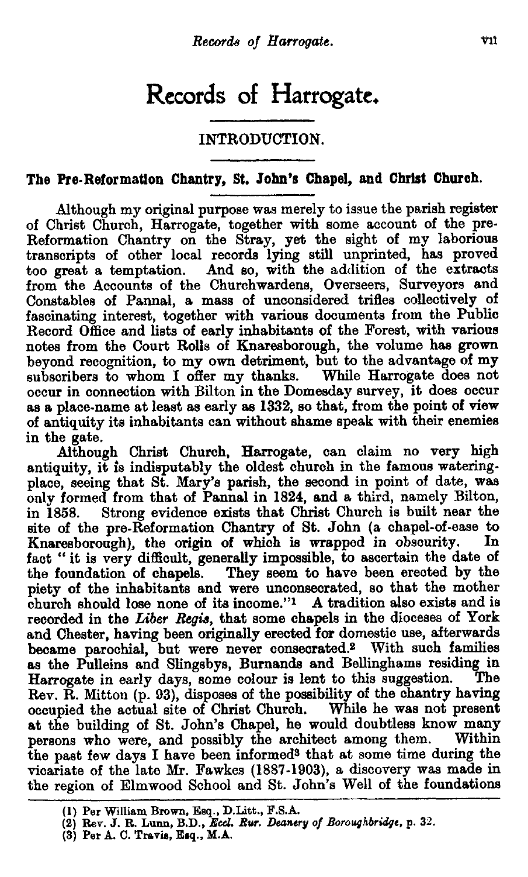# <span id="page-2-0"></span>Records of Harrogate.

### INTRODUCTION.

## The Pre-Reformation Chantry, St. John's Chapel, and Christ Church.

Although my original purpose was merely to issue the parish register of Christ Church, Harrogate, together with some account of the pre-Reformation Chantry on the Stray, yet the sight of my laborious transcripts of other local records lying still unprinted, has proved too great a temptation. And so, with the addition of the extracts from the Accounts of the Churchwardens, Overseers, Surveyors and Constables of Pannal, a mass of unconsidered trifles collectively of fascinating interest, together with various documents from the Public Record Office and lists of early inhabitants of the Forest, with various notes from the Court Rolls of Knaresborough, the volume has grown beyond recognition, to my own detriment, but to the advantage of my subscribers to whom I offer my thanks. While Harrogate does not occur in connection with Bilton in the Domesday survey, it does occur as a place-name at least as early as 1332, so that, from the point of view of antiquity its inhabitants can without shame speak with their enemies in the gate.

Although Christ Church, Harrogate, can claim no very high antiquity, it is indisputably the oldest church in the famous wateringplace, seeing that St. Mary's parish, the second in point of date, was only formed from that of Pannal in 1824, and a third, namely Bilton, in 1858. Strong evidence exists that Christ Church is built near the Strong evidence exists that Christ Church is built near the site of the pre-Reformation Chantry of St. John (a chapel-of-ease to Knareshorough), the origin of which is wranned in obscurity. In Knaresborough), the origin of which is wrapped in obscurity. fact " it is very difficult, generally impossible, to ascertain the date of the foundation of chapels. They seem to have been erected by the piety of the inhabitants and were unconsecrated, so that the mother church should lose none of its income."<sup>1</sup> A tradition also exists and is recorded in the Liber Regia, that some chapels in the dioceses of York and Chester, having been originally erected for domestic use, afterwards became parochial, but were never consecrated.<sup>2</sup> With such families as the Pulleins and Slingsbys, Burnands and Bellinghams residing in Harrogate in early days, some colour is lent to this suggestion. The Harrogate in early days, some colour is lent to this suggestion. Rev. R. Mitton (p. 93), disposes of the possibility of the chantry having occupied the actual site of Christ Church. While he was not present at the building of St. John's Chapel, he would doubtless know many<br>persons who were, and possibly the architect among them. Within persons who were, and possibly the architect among them. the past few days I have been informed\$ that at some time during the vicariate of the late Mr . Fawkes (1887-1903), a discovery was made in the region of Elmwood School and St. John's Well of the foundations

<sup>(1)</sup> Per William Brown, Esq ., D.Litt., F.S .A.

<sup>(2)</sup> Rev. J. R. Lunn, B.D., Eccl. Rur. Deanery of Boroughbridge, p. 32.

<sup>(3)</sup> Per A. C. Travis, Esq., M.A.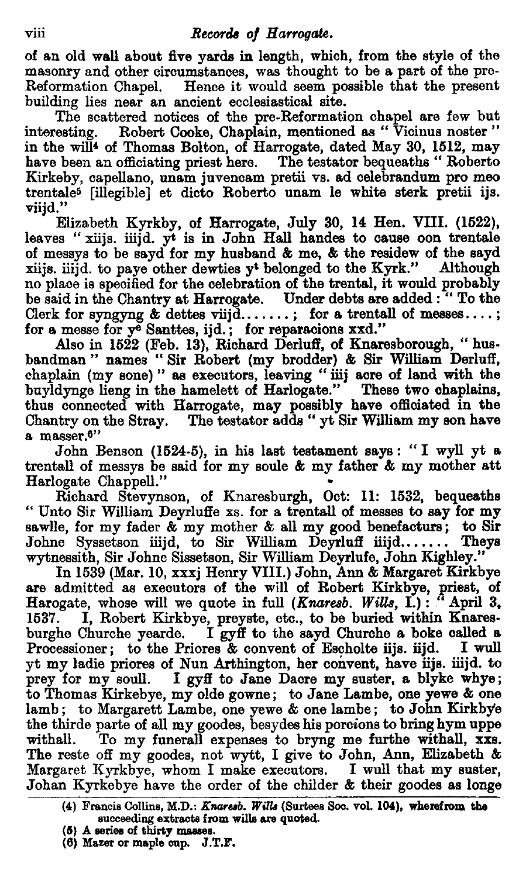of an old wall about five yards in length, which, from the style of the masonry and other circumstances, was thought to be a part of the pre-Reformation Chapel. Hence it would seem possible that the present building lies near an ancient ecclesiastical site. viii<br>of an old wall abou<br>masonry and other<br>Reformation Chape

The scattered notices of the pre-Reformation chapel are few but interesting. Robert Cooke, Chaplain, mentioned as "Vicinus noster" Robert Cooke, Chaplain, mentioned as "Vicinus noster" in the will4 of Thomas Bolton, of Harrogate, dated May 30, 1512, may have been an officiating priest here. The testator bequeaths " Roberto Kirkeby, capellano, unam juvencam pretii vs. ad celebrandum pro meo trentale<sup>5</sup> [illegible] et dicto Roberto unam le white sterk pretii ijs. viijd."

Elizabeth Kyrkby, of Harrogate, July 30, 14 Hen. VIII. (1522), leaves " xiijs. iiijd. yt is in John Hall handes to cause oon trentale of messys to be sayd for my husband & me, & the residew of the sayd xiijs. iiijd. to paye other dewties y<sup>t</sup> belonged to the Kyrk." Although no place is specified for the celebration of the trental, it would probably no place is specified for the celebration of the trental, it would probably be said in the Chantry at Harrogate. Under debts are added : " To the xijs. iiijd. to paye other dewties y<sup>t</sup> belonged to the Kyrk." Although<br>no place is specified for the celebration of the trental, it would probably<br>be said in the Chantry at Harrogate. Under debts are added : "To the<br>Cler for a messe for  $y^2$  Santtes, ijd.; for reparacions  $xxd$ .

Also in 1522 (Feb. 13), Richard Derluff, of Knaresborough, " husbandman " names "Sir Robert (my brodder) & Sir William Derluff, chaplain (my sone) " as executors, leaving " iiij acre of land with the buyldynge lieng in the hamelett of Harlogate. These two chaplains, thus connected with Harrogate, may possibly have officiated in the Chantry on the Stray. The testator adds " yt Sir William my son have a masser.<sup>6"</sup>

John Benson (1524-5), in his last testament says : " I wyll yt a trentall of messys be said for my soule & my father & my mother att Harlogate Chappell."

- Richard Stevynson, of Knaresburgh, Oct: 11: 1532, bequeaths Unto Sir William Deyrluffe xs. for a trentall of messes to say for my sawlle, for my fader  $\&$  my mother  $\&$  all my good benefacturs; to Sir Johne Syssetson iiiid, to Sir William Devrluff iiiid...... Theys Hand Stevynson, of Knaresburgh, Oct: 11: 1532, bequeaths<br>
"Unto Sir William Deyrluffe xs. for a trentall of messes to say for my<br>
sawlle, for my fader & my mother & all my good benefacturs; to Sir<br>
Johne Syssetson iiijd, t wytnessith, Sir Johne Sissetson, Sir William Deyrlufe, John Kighley ."

In 1539 (Mar. 10, xxxj Henry VIII.) John, Ann & Margaret Kirkbye are admitted as executors of the will of Robert Kirkbye, priest, of Harogate, whose will we quote in full  $(Knareso. Wius, I.):$  . April 3, 1537. I, Robert Kirkbye, preyste, etc ., to be buried within Knaresburghe Churche yearde . I gyff to the sayd Churche a boke called a Processioner; to the Priores & convent of Escholte iijs. iijd. I wull yt my ladie priores of Nun Arthington, her convent, have iijs. iiijd. to prey for my soull. I gyff to Jane Dacre my suster, a blyke whye; prey for my soull. I gyff to Jane Dacre my suster, a blyke whye ; to Thomas Kirkebye, my olde gowne ; to Jane Lambe, one yews & one lamb; to Margarett Lambe, one yewe  $\alpha$  one lambe; to John Kirkbye the thirde parte of all my goodes, besydes his porcions to bring hym uppe withall. To my funerall expenses to bryng me furthe withall, xxs. The reste off my goodes, not wytt, I give to John, Ann, Elizabeth & Margaret Kyrkbye, whom I make executors. I wull that my suster, Johan Kyrkebye have the order of the childer & their goodes as longe

- 
- (5) A series of thirty masses. (6) Mazer or maple cup. J.T.F .

<sup>(4)</sup> Francis Collins, M.D.: Knaresb. Wills (Surtees Soc. vol. 104), wherefrom the succeeding extracts from wills are quoted.